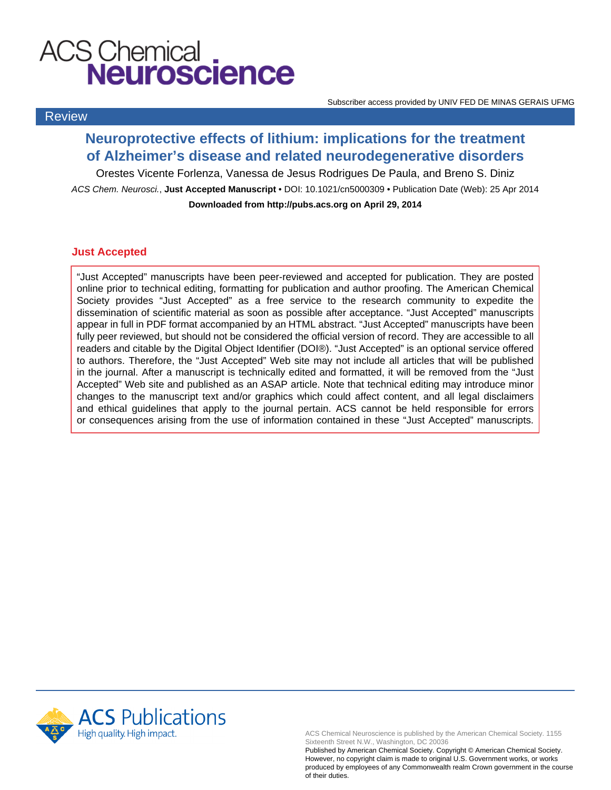# **ACS Chemical<br>
Neuroscience**

Review

Subscriber access provided by UNIV FED DE MINAS GERAIS UFMG

## **Neuroprotective effects of lithium: implications for the treatment of Alzheimer's disease and related neurodegenerative disorders**

Orestes Vicente Forlenza, Vanessa de Jesus Rodrigues De Paula, and Breno S. Diniz ACS Chem. Neurosci., **Just Accepted Manuscript** • DOI: 10.1021/cn5000309 • Publication Date (Web): 25 Apr 2014

**Downloaded from http://pubs.acs.org on April 29, 2014**

## **Just Accepted**

"Just Accepted" manuscripts have been peer-reviewed and accepted for publication. They are posted online prior to technical editing, formatting for publication and author proofing. The American Chemical Society provides "Just Accepted" as a free service to the research community to expedite the dissemination of scientific material as soon as possible after acceptance. "Just Accepted" manuscripts appear in full in PDF format accompanied by an HTML abstract. "Just Accepted" manuscripts have been fully peer reviewed, but should not be considered the official version of record. They are accessible to all readers and citable by the Digital Object Identifier (DOI®). "Just Accepted" is an optional service offered to authors. Therefore, the "Just Accepted" Web site may not include all articles that will be published in the journal. After a manuscript is technically edited and formatted, it will be removed from the "Just Accepted" Web site and published as an ASAP article. Note that technical editing may introduce minor changes to the manuscript text and/or graphics which could affect content, and all legal disclaimers and ethical guidelines that apply to the journal pertain. ACS cannot be held responsible for errors or consequences arising from the use of information contained in these "Just Accepted" manuscripts.



ACS Chemical Neuroscience is published by the American Chemical Society. 1155 Sixteenth Street N.W., Washington, DC 20036

Published by American Chemical Society. Copyright © American Chemical Society. However, no copyright claim is made to original U.S. Government works, or works produced by employees of any Commonwealth realm Crown government in the course of their duties.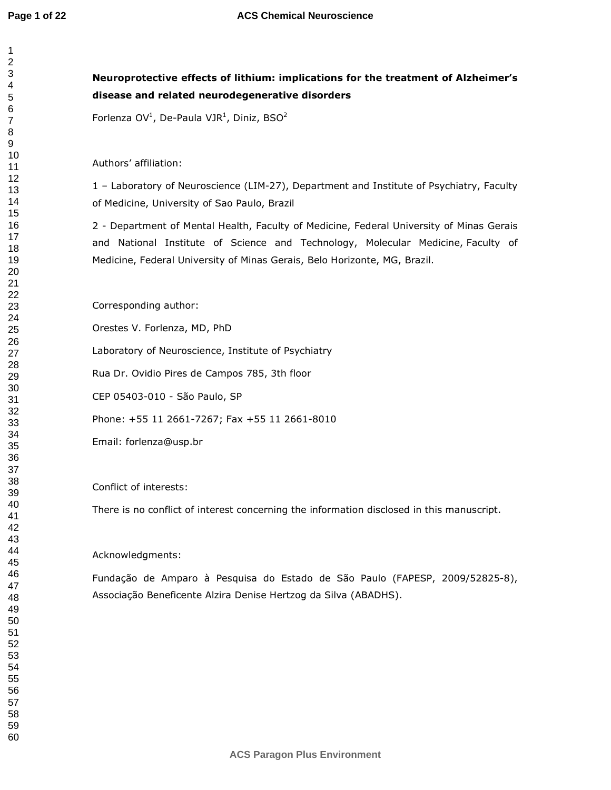## **Neuroprotective effects of lithium: implications for the treatment of Alzheimer's disease and related neurodegenerative disorders**

Forlenza OV<sup>1</sup>, De-Paula VJR<sup>1</sup>, Diniz, BSO<sup>2</sup>

Authors' affiliation:

1 – Laboratory of Neuroscience (LIM-27), Department and Institute of Psychiatry, Faculty of Medicine, University of Sao Paulo, Brazil

2 - Department of Mental Health, Faculty of Medicine, Federal University of Minas Gerais and National Institute of Science and Technology, Molecular Medicine, Faculty of Medicine, Federal University of Minas Gerais, Belo Horizonte, MG, Brazil.

Corresponding author:

Orestes V. Forlenza, MD, PhD

Laboratory of Neuroscience, Institute of Psychiatry

Rua Dr. Ovidio Pires de Campos 785, 3th floor

CEP 05403-010 - São Paulo, SP

Phone: +55 11 2661-7267; Fax +55 11 2661-8010

Email: forlenza@usp.br

Conflict of interests:

There is no conflict of interest concerning the information disclosed in this manuscript.

#### Acknowledgments:

Fundação de Amparo à Pesquisa do Estado de São Paulo (FAPESP, 2009/52825-8), Associação Beneficente Alzira Denise Hertzog da Silva (ABADHS).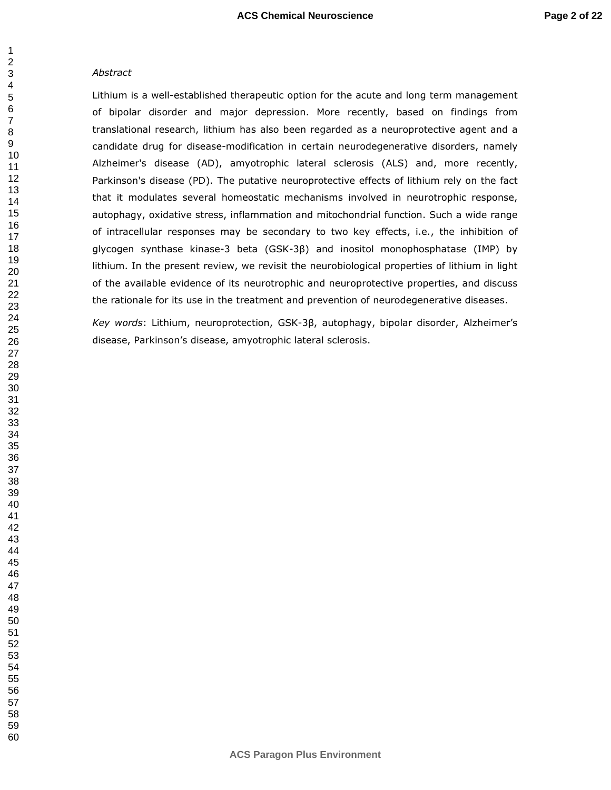#### *Abstract*

Lithium is a well-established therapeutic option for the acute and long term management of bipolar disorder and major depression. More recently, based on findings from translational research, lithium has also been regarded as a neuroprotective agent and a candidate drug for disease-modification in certain neurodegenerative disorders, namely Alzheimer's disease (AD), amyotrophic lateral sclerosis (ALS) and, more recently, Parkinson's disease (PD). The putative neuroprotective effects of lithium rely on the fact that it modulates several homeostatic mechanisms involved in neurotrophic response, autophagy, oxidative stress, inflammation and mitochondrial function. Such a wide range of intracellular responses may be secondary to two key effects, i.e., the inhibition of glycogen synthase kinase-3 beta (GSK-3β) and inositol monophosphatase (IMP) by lithium. In the present review, we revisit the neurobiological properties of lithium in light of the available evidence of its neurotrophic and neuroprotective properties, and discuss the rationale for its use in the treatment and prevention of neurodegenerative diseases.

*Key words*: Lithium, neuroprotection, GSK-3β, autophagy, bipolar disorder, Alzheimer's disease, Parkinson's disease, amyotrophic lateral sclerosis.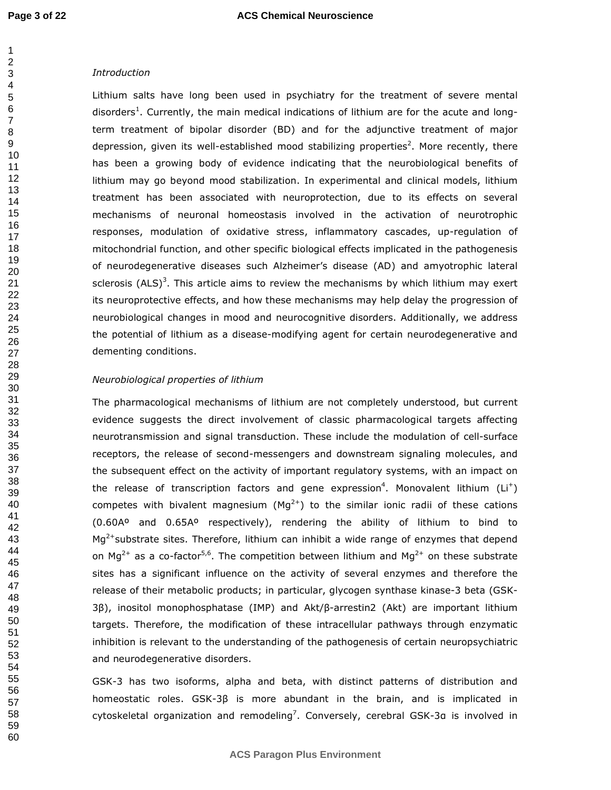#### *Introduction*

Lithium salts have long been used in psychiatry for the treatment of severe mental disorders<sup>1</sup>. Currently, the main medical indications of lithium are for the acute and longterm treatment of bipolar disorder (BD) and for the adjunctive treatment of major depression, given its well-established mood stabilizing properties<sup>2</sup>. More recently, there has been a growing body of evidence indicating that the neurobiological benefits of lithium may go beyond mood stabilization. In experimental and clinical models, lithium treatment has been associated with neuroprotection, due to its effects on several mechanisms of neuronal homeostasis involved in the activation of neurotrophic responses, modulation of oxidative stress, inflammatory cascades, up-regulation of mitochondrial function, and other specific biological effects implicated in the pathogenesis of neurodegenerative diseases such Alzheimer's disease (AD) and amyotrophic lateral sclerosis (ALS)<sup>3</sup>. This article aims to review the mechanisms by which lithium may exert its neuroprotective effects, and how these mechanisms may help delay the progression of neurobiological changes in mood and neurocognitive disorders. Additionally, we address the potential of lithium as a disease-modifying agent for certain neurodegenerative and dementing conditions.

#### *Neurobiological properties of lithium*

The pharmacological mechanisms of lithium are not completely understood, but current evidence suggests the direct involvement of classic pharmacological targets affecting neurotransmission and signal transduction. These include the modulation of cell-surface receptors, the release of second-messengers and downstream signaling molecules, and the subsequent effect on the activity of important regulatory systems, with an impact on the release of transcription factors and gene expression<sup>4</sup>. Monovalent lithium (Li<sup>+</sup>) competes with bivalent magnesium  $(Mq^{2+})$  to the similar ionic radii of these cations (0.60Aº and 0.65Aº respectively), rendering the ability of lithium to bind to  $Mq<sup>2+</sup>$ substrate sites. Therefore, lithium can inhibit a wide range of enzymes that depend on Mg<sup>2+</sup> as a co-factor<sup>5,6</sup>. The competition between lithium and Mg<sup>2+</sup> on these substrate sites has a significant influence on the activity of several enzymes and therefore the release of their metabolic products; in particular, glycogen synthase kinase-3 beta (GSK-3β), inositol monophosphatase (IMP) and Akt/β-arrestin2 (Akt) are important lithium targets. Therefore, the modification of these intracellular pathways through enzymatic inhibition is relevant to the understanding of the pathogenesis of certain neuropsychiatric and neurodegenerative disorders.

GSK-3 has two isoforms, alpha and beta, with distinct patterns of distribution and homeostatic roles. GSK-3β is more abundant in the brain, and is implicated in cytoskeletal organization and remodeling<sup>7</sup>. Conversely, cerebral GSK-3 $a$  is involved in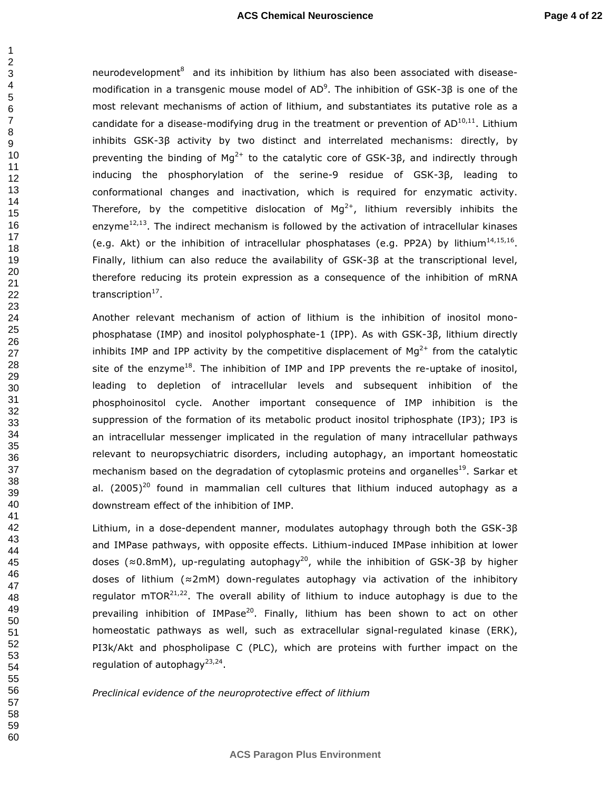neurodevelopment $^8$  and its inhibition by lithium has also been associated with diseasemodification in a transgenic mouse model of AD<sup>9</sup>. The inhibition of GSK-3β is one of the most relevant mechanisms of action of lithium, and substantiates its putative role as a candidate for a disease-modifying drug in the treatment or prevention of  $AD^{10,11}$ . Lithium inhibits GSK-3β activity by two distinct and interrelated mechanisms: directly, by preventing the binding of  $Mg^{2+}$  to the catalytic core of GSK-3 $\beta$ , and indirectly through inducing the phosphorylation of the serine-9 residue of GSK-3β, leading to conformational changes and inactivation, which is required for enzymatic activity. Therefore, by the competitive dislocation of  $Mg^{2+}$ , lithium reversibly inhibits the enzyme $12,13$ . The indirect mechanism is followed by the activation of intracellular kinases (e.g. Akt) or the inhibition of intracellular phosphatases (e.g. PP2A) by lithium $^{14,15,16}$ . Finally, lithium can also reduce the availability of GSK-3β at the transcriptional level, therefore reducing its protein expression as a consequence of the inhibition of mRNA transcription<sup>17</sup>.

Another relevant mechanism of action of lithium is the inhibition of inositol monophosphatase (IMP) and inositol polyphosphate-1 (IPP). As with GSK-3β, lithium directly inhibits IMP and IPP activity by the competitive displacement of  $Mg^{2+}$  from the catalytic site of the enzyme<sup>18</sup>. The inhibition of IMP and IPP prevents the re-uptake of inositol, leading to depletion of intracellular levels and subsequent inhibition of the phosphoinositol cycle. Another important consequence of IMP inhibition is the suppression of the formation of its metabolic product inositol triphosphate (IP3); IP3 is an intracellular messenger implicated in the regulation of many intracellular pathways relevant to neuropsychiatric disorders, including autophagy, an important homeostatic mechanism based on the degradation of cytoplasmic proteins and organelles<sup>19</sup>. Sarkar et al.  $(2005)^{20}$  found in mammalian cell cultures that lithium induced autophagy as a downstream effect of the inhibition of IMP.

Lithium, in a dose-dependent manner, modulates autophagy through both the GSK-3β and IMPase pathways, with opposite effects. Lithium-induced IMPase inhibition at lower doses ( $\approx$ 0.8mM), up-regulating autophagy<sup>20</sup>, while the inhibition of GSK-3β by higher doses of lithium (≈2mM) down-regulates autophagy via activation of the inhibitory regulator mTOR $^{21,22}$ . The overall ability of lithium to induce autophagy is due to the prevailing inhibition of IMPase<sup>20</sup>. Finally, lithium has been shown to act on other homeostatic pathways as well, such as extracellular signal-regulated kinase (ERK), PI3k/Akt and phospholipase C (PLC), which are proteins with further impact on the regulation of autophagy<sup>23,24</sup>.

*Preclinical evidence of the neuroprotective effect of lithium*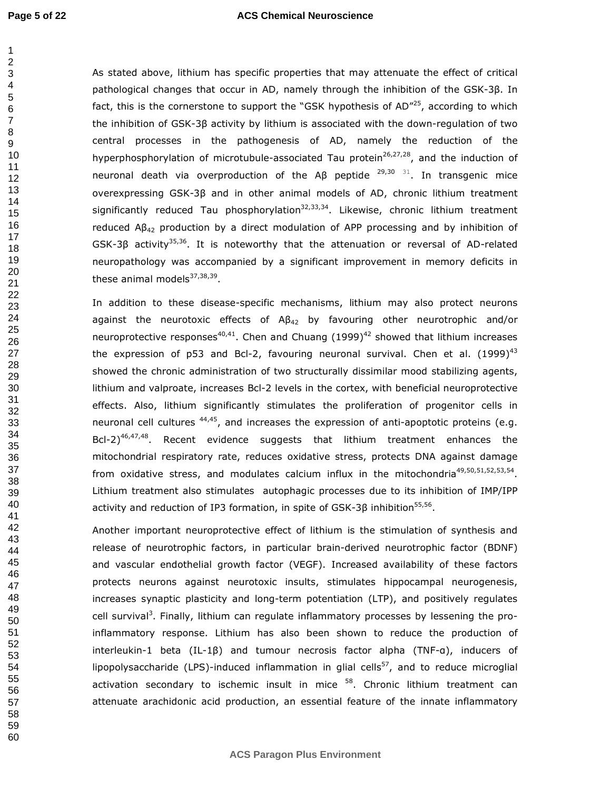#### **ACS Chemical Neuroscience**

As stated above, lithium has specific properties that may attenuate the effect of critical pathological changes that occur in AD, namely through the inhibition of the GSK-3β. In fact, this is the cornerstone to support the "GSK hypothesis of  $AD''^{25}$ , according to which the inhibition of GSK-3β activity by lithium is associated with the down-regulation of two central processes in the pathogenesis of AD, namely the reduction of the hyperphosphorylation of microtubule-associated Tau protein<sup>26,27,28</sup>, and the induction of neuronal death via overproduction of the Aβ peptide  $29,30$  31. In transgenic mice overexpressing GSK-3β and in other animal models of AD, chronic lithium treatment significantly reduced Tau phosphorylation<sup>32,33,34</sup>. Likewise, chronic lithium treatment reduced  $AB_{42}$  production by a direct modulation of APP processing and by inhibition of  $GSK-3\beta$  activity<sup>35,36</sup>. It is noteworthy that the attenuation or reversal of AD-related neuropathology was accompanied by a significant improvement in memory deficits in these animal models<sup>37,38,39</sup>.

In addition to these disease-specific mechanisms, lithium may also protect neurons against the neurotoxic effects of  $AB_{42}$  by favouring other neurotrophic and/or neuroprotective responses<sup>40,41</sup>. Chen and Chuang (1999)<sup>42</sup> showed that lithium increases the expression of p53 and Bcl-2, favouring neuronal survival. Chen et al.  $(1999)^{43}$ showed the chronic administration of two structurally dissimilar mood stabilizing agents, lithium and valproate, increases Bcl-2 levels in the cortex, with beneficial neuroprotective effects. Also, lithium significantly stimulates the proliferation of progenitor cells in neuronal cell cultures  $44,45$ , and increases the expression of anti-apoptotic proteins (e.g. Bcl-2) $46,47,48$ . Recent evidence suggests that lithium treatment enhances the mitochondrial respiratory rate, reduces oxidative stress, protects DNA against damage from oxidative stress, and modulates calcium influx in the mitochondria<sup>49,50,51,52,53,54</sup>. Lithium treatment also stimulates autophagic processes due to its inhibition of IMP/IPP activity and reduction of IP3 formation, in spite of GSK-3 $\beta$  inhibition<sup>55,56</sup>.

Another important neuroprotective effect of lithium is the stimulation of synthesis and release of neurotrophic factors, in particular brain-derived neurotrophic factor (BDNF) and vascular endothelial growth factor (VEGF). Increased availability of these factors protects neurons against neurotoxic insults, stimulates hippocampal neurogenesis, increases synaptic plasticity and long-term potentiation (LTP), and positively regulates cell survival<sup>3</sup>. Finally, lithium can regulate inflammatory processes by lessening the proinflammatory response. Lithium has also been shown to reduce the production of interleukin-1 beta (IL-1β) and tumour necrosis factor alpha (TNF-α), inducers of lipopolysaccharide (LPS)-induced inflammation in glial cells<sup>57</sup>, and to reduce microglial activation secondary to ischemic insult in mice . Chronic lithium treatment can attenuate arachidonic acid production, an essential feature of the innate inflammatory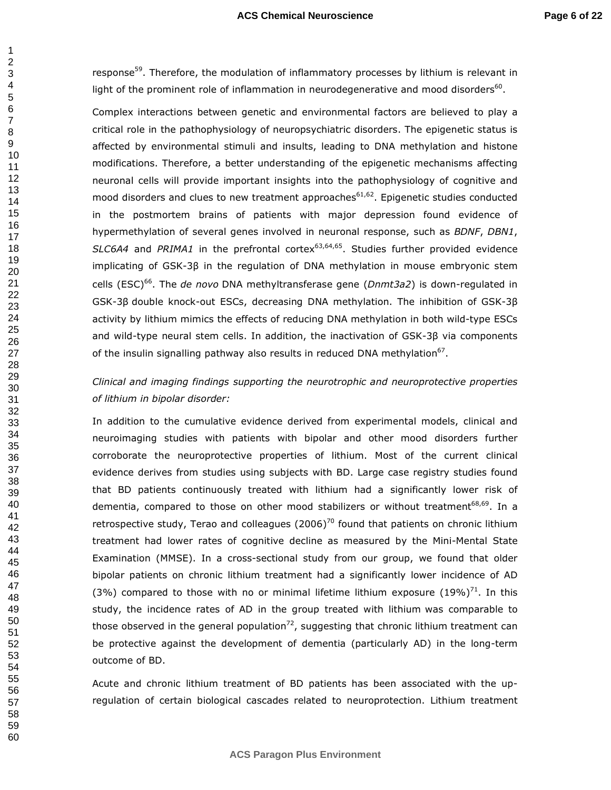response<sup>59</sup>. Therefore, the modulation of inflammatory processes by lithium is relevant in light of the prominent role of inflammation in neurodegenerative and mood disorders $^{60}$ .

Complex interactions between genetic and environmental factors are believed to play a critical role in the pathophysiology of neuropsychiatric disorders. The epigenetic status is affected by environmental stimuli and insults, leading to DNA methylation and histone modifications. Therefore, a better understanding of the epigenetic mechanisms affecting neuronal cells will provide important insights into the pathophysiology of cognitive and mood disorders and clues to new treatment approaches<sup>61,62</sup>. Epigenetic studies conducted in the postmortem brains of patients with major depression found evidence of hypermethylation of several genes involved in neuronal response, such as *BDNF*, *DBN1*, SLC6A4 and *PRIMA1* in the prefrontal cortex<sup>63,64,65</sup>. Studies further provided evidence implicating of GSK-3β in the regulation of DNA methylation in mouse embryonic stem cells (ESC)<sup>66</sup>. The *de novo* DNA methyltransferase gene (*Dnmt3a2*) is down-regulated in GSK-3β double knock-out ESCs, decreasing DNA methylation. The inhibition of GSK-3β activity by lithium mimics the effects of reducing DNA methylation in both wild-type ESCs and wild-type neural stem cells. In addition, the inactivation of GSK-3β via components of the insulin signalling pathway also results in reduced DNA methylation<sup>67</sup>.

## *Clinical and imaging findings supporting the neurotrophic and neuroprotective properties of lithium in bipolar disorder:*

In addition to the cumulative evidence derived from experimental models, clinical and neuroimaging studies with patients with bipolar and other mood disorders further corroborate the neuroprotective properties of lithium. Most of the current clinical evidence derives from studies using subjects with BD. Large case registry studies found that BD patients continuously treated with lithium had a significantly lower risk of dementia, compared to those on other mood stabilizers or without treatment<sup>68,69</sup>. In a retrospective study, Terao and colleagues  $(2006)^{70}$  found that patients on chronic lithium treatment had lower rates of cognitive decline as measured by the Mini-Mental State Examination (MMSE). In a cross-sectional study from our group, we found that older bipolar patients on chronic lithium treatment had a significantly lower incidence of AD (3%) compared to those with no or minimal lifetime lithium exposure  $(19\%)^{71}$ . In this study, the incidence rates of AD in the group treated with lithium was comparable to those observed in the general population<sup>72</sup>, suggesting that chronic lithium treatment can be protective against the development of dementia (particularly AD) in the long-term outcome of BD.

Acute and chronic lithium treatment of BD patients has been associated with the upregulation of certain biological cascades related to neuroprotection. Lithium treatment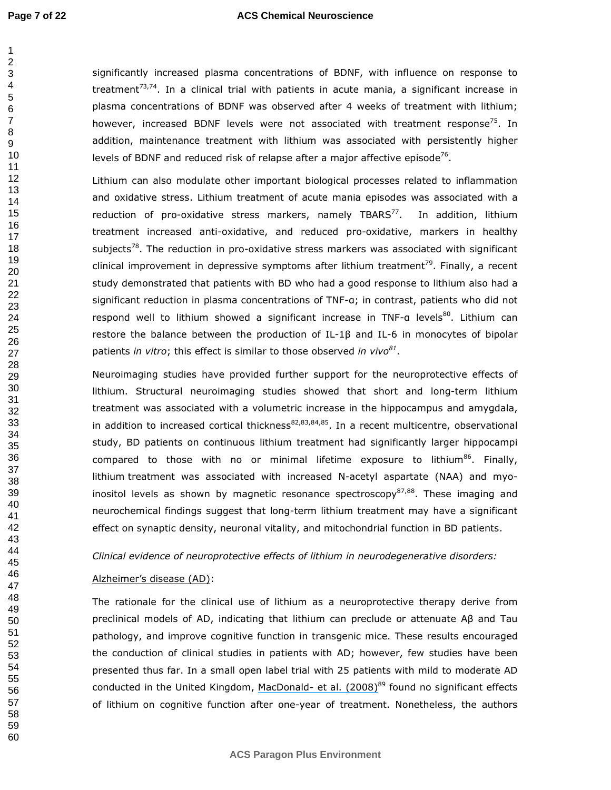#### **ACS Chemical Neuroscience**

significantly increased plasma concentrations of BDNF, with influence on response to treatment<sup>73,74</sup>. In a clinical trial with patients in acute mania, a significant increase in plasma concentrations of BDNF was observed after 4 weeks of treatment with lithium; however, increased BDNF levels were not associated with treatment response<sup>75</sup>. In addition, maintenance treatment with lithium was associated with persistently higher levels of BDNF and reduced risk of relapse after a major affective episode<sup>76</sup>. Lithium can also modulate other important biological processes related to inflammation and oxidative stress. Lithium treatment of acute mania episodes was associated with a reduction of pro-oxidative stress markers, namely  $TBARS^{77}$ . In addition, lithium treatment increased anti-oxidative, and reduced pro-oxidative, markers in healthy subjects<sup>78</sup>. The reduction in pro-oxidative stress markers was associated with significant clinical improvement in depressive symptoms after lithium treatment<sup>79</sup>. Finally, a recent 

study demonstrated that patients with BD who had a good response to lithium also had a significant reduction in plasma concentrations of TNF-α; in contrast, patients who did not respond well to lithium showed a significant increase in TNF-a levels<sup>80</sup>. Lithium can restore the balance between the production of IL-1β and IL-6 in monocytes of bipolar patients *in vitro*; this effect is similar to those observed *in vivo<sup>81</sup>* .

Neuroimaging studies have provided further support for the neuroprotective effects of lithium. Structural neuroimaging studies showed that short and long-term lithium treatment was associated with a volumetric increase in the hippocampus and amygdala, in addition to increased cortical thickness<sup>82,83,84,85</sup>. In a recent multicentre, observational study, BD patients on continuous lithium treatment had significantly larger hippocampi compared to those with no or minimal lifetime exposure to lithium<sup>86</sup>. Finally, lithium treatment was associated with increased N-acetyl aspartate (NAA) and myoinositol levels as shown by magnetic resonance spectroscopy $87,88$ . These imaging and neurochemical findings suggest that long-term lithium treatment may have a significant effect on synaptic density, neuronal vitality, and mitochondrial function in BD patients.

#### *Clinical evidence of neuroprotective effects of lithium in neurodegenerative disorders:*

#### Alzheimer's disease (AD):

The rationale for the clinical use of lithium as a neuroprotective therapy derive from preclinical models of AD, indicating that lithium can preclude or attenuate Aβ and Tau pathology, and improve cognitive function in transgenic mice. These results encouraged the conduction of clinical studies in patients with AD; however, few studies have been presented thus far. In a small open label trial with 25 patients with mild to moderate AD conducted in the United Kingdom, MacDonald- et al.  $(2008)^{89}$  found no significant effects of lithium on cognitive function after one-year of treatment. Nonetheless, the authors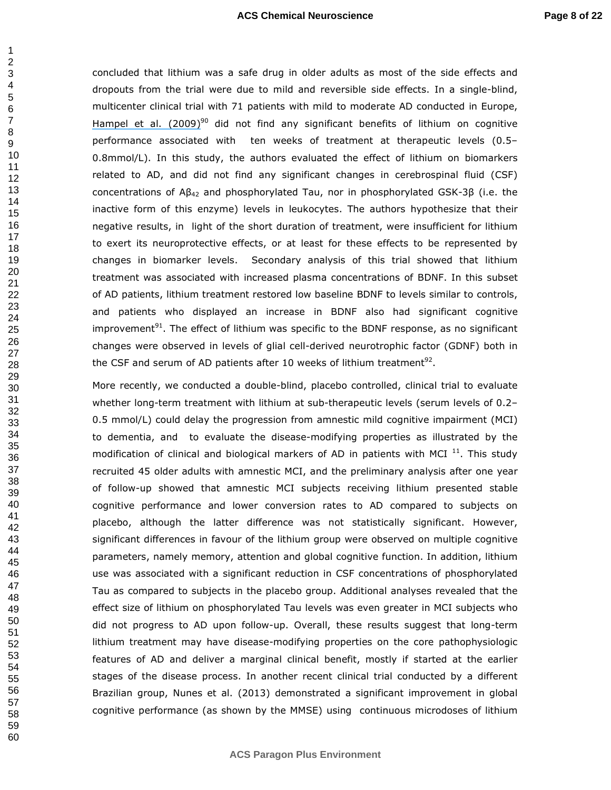concluded that lithium was a safe drug in older adults as most of the side effects and dropouts from the trial were due to mild and reversible side effects. In a single-blind, multicenter clinical trial with 71 patients with mild to moderate AD conducted in Europe, Hampel et al.  $(2009)^{90}$  did not find any significant benefits of lithium on cognitive performance associated with ten weeks of treatment at therapeutic levels (0.5– 0.8mmol/L). In this study, the authors evaluated the effect of lithium on biomarkers related to AD, and did not find any significant changes in cerebrospinal fluid (CSF) concentrations of  $AB_{42}$  and phosphorylated Tau, nor in phosphorylated GSK-3β (i.e. the inactive form of this enzyme) levels in leukocytes. The authors hypothesize that their negative results, in light of the short duration of treatment, were insufficient for lithium to exert its neuroprotective effects, or at least for these effects to be represented by changes in biomarker levels. Secondary analysis of this trial showed that lithium treatment was associated with increased plasma concentrations of BDNF. In this subset of AD patients, lithium treatment restored low baseline BDNF to levels similar to controls, and patients who displayed an increase in BDNF also had significant cognitive improvement<sup>91</sup>. The effect of lithium was specific to the BDNF response, as no significant changes were observed in levels of glial cell-derived neurotrophic factor (GDNF) both in the CSF and serum of AD patients after 10 weeks of lithium treatment<sup>92</sup>.

More recently, we conducted a double-blind, placebo controlled, clinical trial to evaluate whether long-term treatment with lithium at sub-therapeutic levels (serum levels of 0.2– 0.5 mmol/L) could delay the progression from amnestic mild cognitive impairment (MCI) to dementia, and to evaluate the disease-modifying properties as illustrated by the modification of clinical and biological markers of AD in patients with MCI  $^{11}$ . This study recruited 45 older adults with amnestic MCI, and the preliminary analysis after one year of follow-up showed that amnestic MCI subjects receiving lithium presented stable cognitive performance and lower conversion rates to AD compared to subjects on placebo, although the latter difference was not statistically significant. However, significant differences in favour of the lithium group were observed on multiple cognitive parameters, namely memory, attention and global cognitive function. In addition, lithium use was associated with a significant reduction in CSF concentrations of phosphorylated Tau as compared to subjects in the placebo group. Additional analyses revealed that the effect size of lithium on phosphorylated Tau levels was even greater in MCI subjects who did not progress to AD upon follow-up. Overall, these results suggest that long-term lithium treatment may have disease-modifying properties on the core pathophysiologic features of AD and deliver a marginal clinical benefit, mostly if started at the earlier stages of the disease process. In another recent clinical trial conducted by a different Brazilian group, Nunes et al. (2013) demonstrated a significant improvement in global cognitive performance (as shown by the MMSE) using continuous microdoses of lithium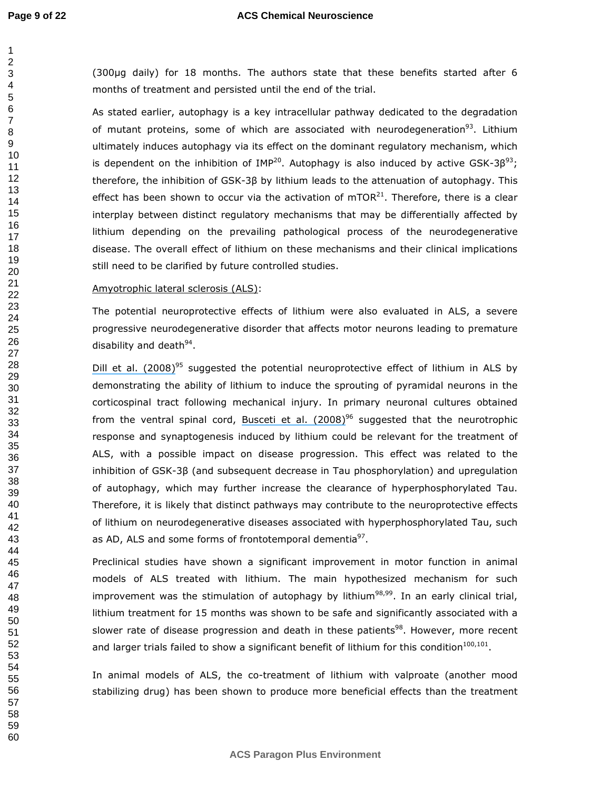(300µg daily) for 18 months. The authors state that these benefits started after 6 months of treatment and persisted until the end of the trial.

As stated earlier, autophagy is a key intracellular pathway dedicated to the degradation of mutant proteins, some of which are associated with neurodegeneration<sup>93</sup>. Lithium ultimately induces autophagy via its effect on the dominant regulatory mechanism, which is dependent on the inhibition of IMP<sup>20</sup>. Autophagy is also induced by active GSK-3 $\beta^{93}$ ; therefore, the inhibition of GSK-3β by lithium leads to the attenuation of autophagy. This effect has been shown to occur via the activation of  $mTOR<sup>21</sup>$ . Therefore, there is a clear interplay between distinct regulatory mechanisms that may be differentially affected by lithium depending on the prevailing pathological process of the neurodegenerative disease. The overall effect of lithium on these mechanisms and their clinical implications still need to be clarified by future controlled studies.

#### Amyotrophic lateral sclerosis (ALS):

The potential neuroprotective effects of lithium were also evaluated in ALS, a severe progressive neurodegenerative disorder that affects motor neurons leading to premature disability and death<sup>94</sup>.

[Dill et al. \(2008\)](https://www.researchgate.net/publication/5669568_A_feasibility_and_tolerability_study_of_lithium_in_Alzheimer)<sup>95</sup> suggested the potential neuroprotective effect of lithium in ALS by demonstrating the ability of lithium to induce the sprouting of pyramidal neurons in the corticospinal tract following mechanical injury. In primary neuronal cultures obtained from the ventral spinal cord, Busceti et al.  $(2008)^{96}$  suggested that the neurotrophic response and synaptogenesis induced by lithium could be relevant for the treatment of ALS, with a possible impact on disease progression. This effect was related to the inhibition of GSK-3β (and subsequent decrease in Tau phosphorylation) and upregulation of autophagy, which may further increase the clearance of hyperphosphorylated Tau. Therefore, it is likely that distinct pathways may contribute to the neuroprotective effects of lithium on neurodegenerative diseases associated with hyperphosphorylated Tau, such as AD, ALS and some forms of frontotemporal dementia<sup>97</sup>.

Preclinical studies have shown a significant improvement in motor function in animal models of ALS treated with lithium. The main hypothesized mechanism for such improvement was the stimulation of autophagy by lithium<sup>98,99</sup>. In an early clinical trial, lithium treatment for 15 months was shown to be safe and significantly associated with a slower rate of disease progression and death in these patients<sup>98</sup>. However, more recent and larger trials failed to show a significant benefit of lithium for this condition<sup>100,101</sup>.

In animal models of ALS, the co-treatment of lithium with valproate (another mood stabilizing drug) has been shown to produce more beneficial effects than the treatment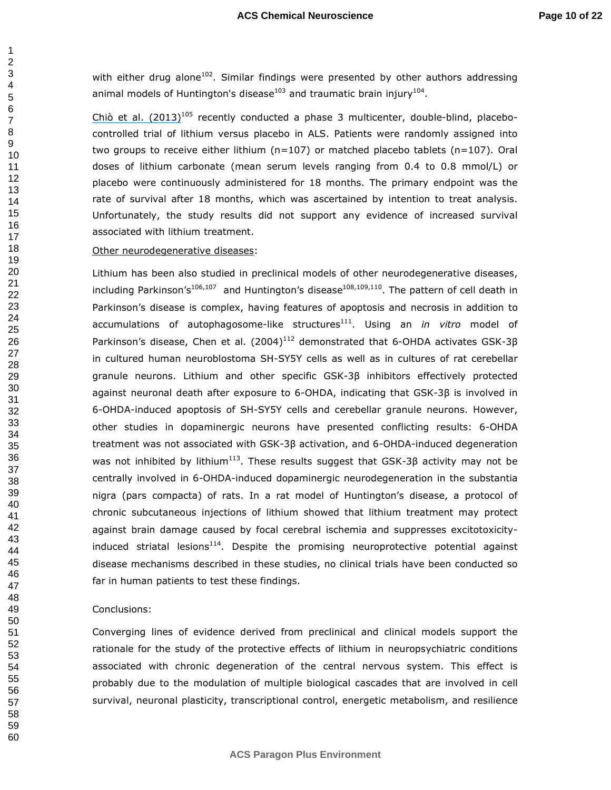with either drug alone. Similar findings were presented by other authors addressing animal models of Huntington's disease<sup>103</sup> and traumatic brain injury<sup>104</sup>.

Chiò et al.  $(2013)^{105}$  recently conducted a phase 3 multicenter, double-blind, placebocontrolled trial of lithium versus placebo in ALS. Patients were randomly assigned into two groups to receive either lithium (n=107) or matched placebo tablets (n=107). Oral doses of lithium carbonate (mean serum levels ranging from 0.4 to 0.8 mmol/L) or placebo were continuously administered for 18 months. The primary endpoint was the rate of survival after 18 months, which was ascertained by intention to treat analysis. Unfortunately, the study results did not support any evidence of increased survival associated with lithium treatment.

#### Other neurodegenerative diseases:

Lithium has been also studied in preclinical models of other neurodegenerative diseases, including Parkinson's<sup>106,107</sup> and Huntington's disease<sup>108,109,110</sup>. The pattern of cell death in Parkinson's disease is complex, having features of apoptosis and necrosis in addition to accumulations of autophagosome-like structures<sup>111</sup>. Using an *in vitro* model of Parkinson's disease, Chen et al.  $(2004)^{112}$  demonstrated that 6-OHDA activates GSK-3B in cultured human neuroblostoma SH-SY5Y cells as well as in cultures of rat cerebellar granule neurons. Lithium and other specific GSK-3β inhibitors effectively protected against neuronal death after exposure to 6-OHDA, indicating that GSK-3β is involved in 6-OHDA-induced apoptosis of SH-SY5Y cells and cerebellar granule neurons. However, other studies in dopaminergic neurons have presented conflicting results: 6-OHDA treatment was not associated with GSK-3β activation, and 6-OHDA-induced degeneration was not inhibited by lithium<sup>113</sup>. These results suggest that GSK-3 $\beta$  activity may not be centrally involved in 6-OHDA-induced dopaminergic neurodegeneration in the substantia nigra (pars compacta) of rats. In a rat model of Huntington's disease, a protocol of chronic subcutaneous injections of lithium showed that lithium treatment may protect against brain damage caused by focal cerebral ischemia and suppresses excitotoxicityinduced striatal lesions. Despite the promising neuroprotective potential against disease mechanisms described in these studies, no clinical trials have been conducted so far in human patients to test these findings.

#### Conclusions:

Converging lines of evidence derived from preclinical and clinical models support the rationale for the study of the protective effects of lithium in neuropsychiatric conditions associated with chronic degeneration of the central nervous system. This effect is probably due to the modulation of multiple biological cascades that are involved in cell survival, neuronal plasticity, transcriptional control, energetic metabolism, and resilience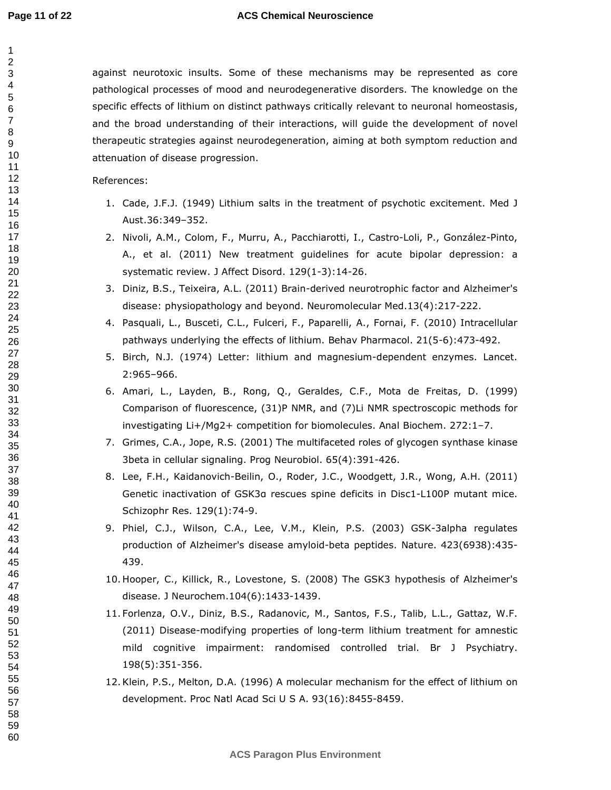#### **ACS Chemical Neuroscience**

against neurotoxic insults. Some of these mechanisms may be represented as core pathological processes of mood and neurodegenerative disorders. The knowledge on the specific effects of lithium on distinct pathways critically relevant to neuronal homeostasis, and the broad understanding of their interactions, will guide the development of novel therapeutic strategies against neurodegeneration, aiming at both symptom reduction and attenuation of disease progression.

References:

- 1. Cade, J.F.J. (1949) Lithium salts in the treatment of psychotic excitement. Med J Aust.36:349–352.
- 2. Nivoli, A.M., Colom, F., Murru, A., Pacchiarotti, I., Castro-Loli, P., González-Pinto, A., et al. (2011) New treatment guidelines for acute bipolar depression: a systematic review. J Affect Disord. 129(1-3):14-26.
- 3. Diniz, B.S., Teixeira, A.L. (2011) Brain-derived neurotrophic factor and Alzheimer's disease: physiopathology and beyond. Neuromolecular Med.13(4):217-222.
- 4. Pasquali, L., Busceti, C.L., Fulceri, F., Paparelli, A., Fornai, F. (2010) Intracellular pathways underlying the effects of lithium. Behav Pharmacol. 21(5-6):473-492.
- 5. Birch, N.J. (1974) Letter: lithium and magnesium-dependent enzymes. Lancet. 2:965–966.
- 6. Amari, L., Layden, B., Rong, Q., Geraldes, C.F., Mota de Freitas, D. (1999) Comparison of fluorescence, (31)P NMR, and (7)Li NMR spectroscopic methods for investigating Li+/Mg2+ competition for biomolecules. Anal Biochem. 272:1–7.
- 7. Grimes, C.A., Jope, R.S. (2001) The multifaceted roles of glycogen synthase kinase 3beta in cellular signaling. Prog Neurobiol. 65(4):391-426.
- 8. Lee, F.H., Kaidanovich-Beilin, O., Roder, J.C., Woodgett, J.R., Wong, A.H. (2011) Genetic inactivation of GSK3α rescues spine deficits in Disc1-L100P mutant mice. Schizophr Res. 129(1):74-9.
- 9. Phiel, C.J., Wilson, C.A., Lee, V.M., Klein, P.S. (2003) GSK-3alpha regulates production of Alzheimer's disease amyloid-beta peptides. Nature. 423(6938):435- 439.
- 10. Hooper, C., Killick, R., Lovestone, S. (2008) The GSK3 hypothesis of Alzheimer's disease. J Neurochem.104(6):1433-1439.
- 11. Forlenza, O.V., Diniz, B.S., Radanovic, M., Santos, F.S., Talib, L.L., Gattaz, W.F. (2011) Disease-modifying properties of long-term lithium treatment for amnestic mild cognitive impairment: randomised controlled trial. Br J Psychiatry. 198(5):351-356.
- 12.Klein, P.S., Melton, D.A. (1996) A molecular mechanism for the effect of lithium on development. Proc Natl Acad Sci U S A. 93(16):8455-8459.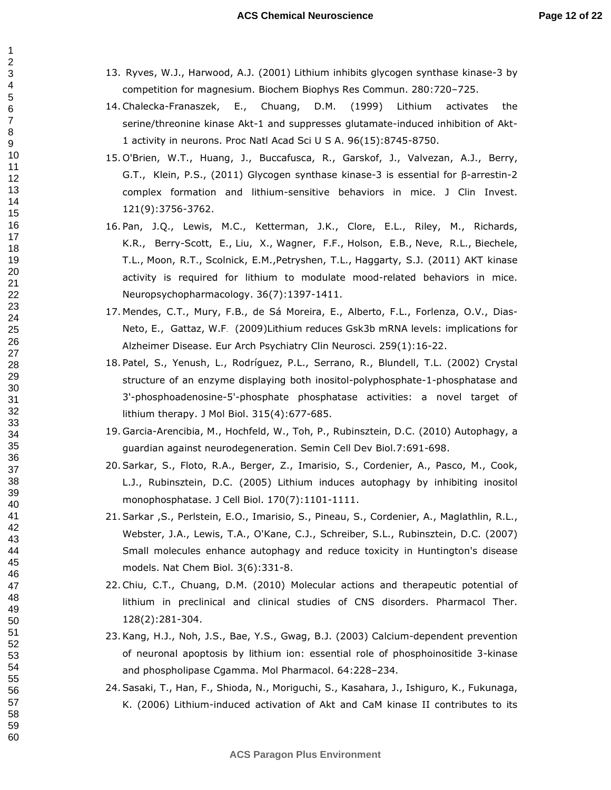- 13. Ryves, W.J., Harwood, A.J. (2001) Lithium inhibits glycogen synthase kinase-3 by competition for magnesium. Biochem Biophys Res Commun. 280:720–725.
- 14.Chalecka-Franaszek, E., Chuang, D.M. (1999) Lithium activates the serine/threonine kinase Akt-1 and suppresses glutamate-induced inhibition of Akt-1 activity in neurons. Proc Natl Acad Sci U S A. 96(15):8745-8750.
- 15. O'Brien, W.T., Huang, J., Buccafusca, R., Garskof, J., Valvezan, A.J., Berry, G.T., Klein, P.S., (2011) Glycogen synthase kinase-3 is essential for β-arrestin-2 complex formation and lithium-sensitive behaviors in mice. J Clin Invest. 121(9):3756-3762.
- 16. Pan, J.Q., Lewis, M.C., Ketterman, J.K., Clore, E.L., Riley, M., Richards, K.R., Berry-Scott, E., Liu, X., Wagner, F.F., Holson, E.B., Neve, R.L., Biechele, T.L., Moon, R.T., Scolnick, E.M.,Petryshen, T.L., Haggarty, S.J. (2011) AKT kinase activity is required for lithium to modulate mood-related behaviors in mice. Neuropsychopharmacology. 36(7):1397-1411.
- 17. Mendes, C.T., Mury, F.B., de Sá Moreira, E., Alberto, F.L., Forlenza, O.V., Dias-Neto, E., Gattaz, W.F. (2009)Lithium reduces Gsk3b mRNA levels: implications for Alzheimer Disease. Eur Arch Psychiatry Clin Neurosci. 259(1):16-22.
- 18. Patel, S., Yenush, L., Rodríguez, P.L., Serrano, R., Blundell, T.L. (2002) Crystal structure of an enzyme displaying both inositol-polyphosphate-1-phosphatase and 3'-phosphoadenosine-5'-phosphate phosphatase activities: a novel target of lithium therapy. J Mol Biol. 315(4):677-685.
- 19. Garcia-Arencibia, M., Hochfeld, W., Toh, P., Rubinsztein, D.C. (2010) Autophagy, a guardian against neurodegeneration. Semin Cell Dev Biol.7:691-698.
- 20.Sarkar, S., Floto, R.A., Berger, Z., Imarisio, S., Cordenier, A., Pasco, M., Cook, L.J., Rubinsztein, D.C. (2005) Lithium induces autophagy by inhibiting inositol monophosphatase. J Cell Biol. 170(7):1101-1111.
- 21.Sarkar ,S., Perlstein, E.O., Imarisio, S., Pineau, S., Cordenier, A., Maglathlin, R.L., Webster, J.A., Lewis, T.A., O'Kane, C.J., Schreiber, S.L., Rubinsztein, D.C. (2007) Small molecules enhance autophagy and reduce toxicity in Huntington's disease models. Nat Chem Biol. 3(6):331-8.
- 22.Chiu, C.T., Chuang, D.M. (2010) Molecular actions and therapeutic potential of lithium in preclinical and clinical studies of CNS disorders. Pharmacol Ther. 128(2):281-304.
- 23.Kang, H.J., Noh, J.S., Bae, Y.S., Gwag, B.J. (2003) Calcium-dependent prevention of neuronal apoptosis by lithium ion: essential role of phosphoinositide 3-kinase and phospholipase Cgamma. Mol Pharmacol. 64:228–234.
- 24.Sasaki, T., Han, F., Shioda, N., Moriguchi, S., Kasahara, J., Ishiguro, K., Fukunaga, K. (2006) Lithium-induced activation of Akt and CaM kinase II contributes to its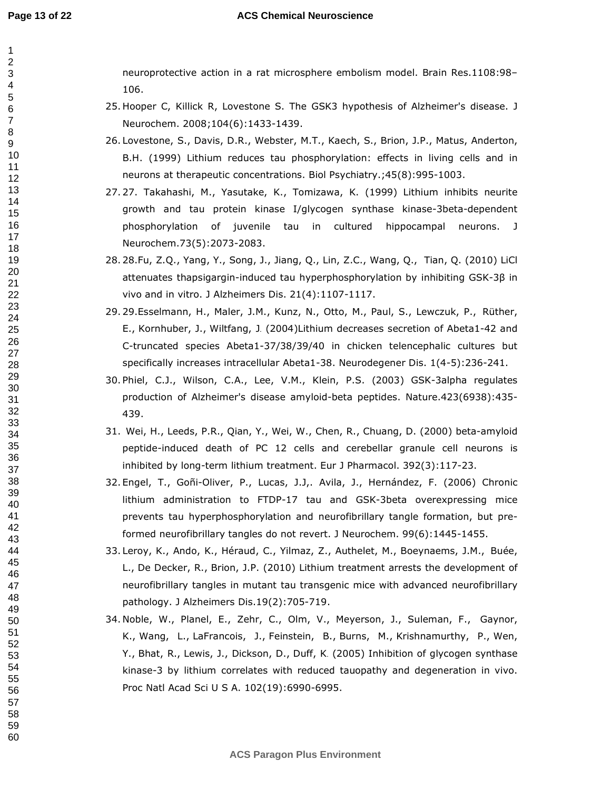#### **ACS Chemical Neuroscience**

neuroprotective action in a rat microsphere embolism model. Brain Res.1108:98– 106.

- 25. Hooper C, Killick R, Lovestone S. The GSK3 hypothesis of Alzheimer's disease. J Neurochem. 2008;104(6):1433-1439.
- 26. Lovestone, S., Davis, D.R., Webster, M.T., Kaech, S., Brion, J.P., Matus, Anderton, B.H. (1999) Lithium reduces tau phosphorylation: effects in living cells and in neurons at therapeutic concentrations. Biol Psychiatry.;45(8):995-1003.
- 27. 27. Takahashi, M., Yasutake, K., Tomizawa, K. (1999) Lithium inhibits neurite growth and tau protein kinase I/glycogen synthase kinase-3beta-dependent phosphorylation of juvenile tau in cultured hippocampal neurons. J Neurochem.73(5):2073-2083.
- 28. 28.Fu, Z.Q., Yang, Y., Song, J., Jiang, Q., Lin, Z.C., Wang, Q., Tian, Q. (2010) LiCl attenuates thapsigargin-induced tau hyperphosphorylation by inhibiting GSK-3β in vivo and in vitro. J Alzheimers Dis. 21(4):1107-1117.
- 29. 29.Esselmann, H., Maler, J.M., Kunz, N., Otto, M., Paul, S., Lewczuk, P., Rüther, E., Kornhuber, J., Wiltfang, J. (2004)Lithium decreases secretion of Abeta1-42 and C-truncated species Abeta1-37/38/39/40 in chicken telencephalic cultures but specifically increases intracellular Abeta1-38. Neurodegener Dis. 1(4-5):236-241.
- 30. Phiel, C.J., Wilson, C.A., Lee, V.M., Klein, P.S. (2003) GSK-3alpha regulates production of Alzheimer's disease amyloid-beta peptides. Nature.423(6938):435- 439.
- 31. Wei, H., Leeds, P.R., Qian, Y., Wei, W., Chen, R., Chuang, D. (2000) beta-amyloid peptide-induced death of PC 12 cells and cerebellar granule cell neurons is inhibited by long-term lithium treatment. Eur J Pharmacol. 392(3):117-23.
- 32. Engel, T., Goñi-Oliver, P., Lucas, J.J,. Avila, J., Hernández, F. (2006) Chronic lithium administration to FTDP-17 tau and GSK-3beta overexpressing mice prevents tau hyperphosphorylation and neurofibrillary tangle formation, but preformed neurofibrillary tangles do not revert. J Neurochem. 99(6):1445-1455.
- 33. Leroy, K., Ando, K., Héraud, C., Yilmaz, Z., Authelet, M., Boeynaems, J.M., Buée, L., De Decker, R., Brion, J.P. (2010) Lithium treatment arrests the development of neurofibrillary tangles in mutant tau transgenic mice with advanced neurofibrillary pathology. J Alzheimers Dis.19(2):705-719.
- 34. Noble, W., Planel, E., Zehr, C., Olm, V., Meyerson, J., Suleman, F., Gaynor, K., Wang, L., LaFrancois, J., Feinstein, B., Burns, M., Krishnamurthy, P., Wen, Y., Bhat, R., Lewis, J., Dickson, D., Duff, K. (2005) Inhibition of glycogen synthase kinase-3 by lithium correlates with reduced tauopathy and degeneration in vivo. Proc Natl Acad Sci U S A. 102(19):6990-6995.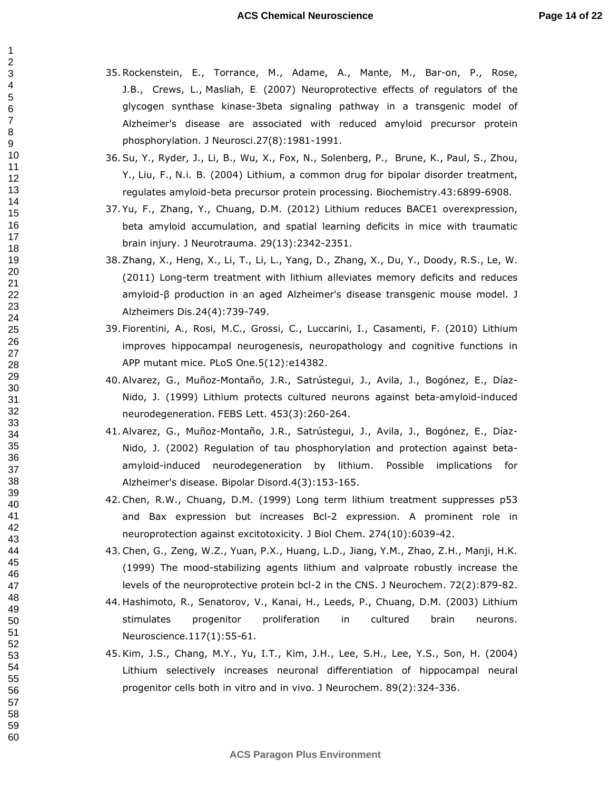- 35.Rockenstein, E., Torrance, M., Adame, A., Mante, M., Bar-on, P., Rose, J.B., Crews, L., Masliah, E. (2007) Neuroprotective effects of regulators of the glycogen synthase kinase-3beta signaling pathway in a transgenic model of Alzheimer's disease are associated with reduced amyloid precursor protein phosphorylation. J Neurosci.27(8):1981-1991.
- 36.Su, Y., Ryder, J., Li, B., Wu, X., Fox, N., Solenberg, P., Brune, K., Paul, S., Zhou, Y., Liu, F., N.i. B. (2004) Lithium, a common drug for bipolar disorder treatment, regulates amyloid-beta precursor protein processing. Biochemistry.43:6899-6908.
- 37. Yu, F., Zhang, Y., Chuang, D.M. (2012) Lithium reduces BACE1 overexpression, beta amyloid accumulation, and spatial learning deficits in mice with traumatic brain injury. J Neurotrauma. 29(13):2342-2351.
- 38.Zhang, X., Heng, X., Li, T., Li, L., Yang, D., Zhang, X., Du, Y., Doody, R.S., Le, W. (2011) Long-term treatment with lithium alleviates memory deficits and reduces amyloid-β production in an aged Alzheimer's disease transgenic mouse model. J Alzheimers Dis.24(4):739-749.
- 39. Fiorentini, A., Rosi, M.C., Grossi, C., Luccarini, I., Casamenti, F. (2010) Lithium improves hippocampal neurogenesis, neuropathology and cognitive functions in APP mutant mice. PLoS One.5(12):e14382.
- 40.Alvarez, G., Muñoz-Montaño, J.R., Satrústegui, J., Avila, J., Bogónez, E., Díaz-Nido, J. (1999) Lithium protects cultured neurons against beta-amyloid-induced neurodegeneration. FEBS Lett. 453(3):260-264.
- 41.Alvarez, G., Muñoz-Montaño, J.R., Satrústegui, J., Avila, J., Bogónez, E., Díaz-Nido, J. (2002) Regulation of tau phosphorylation and protection against betaamyloid-induced neurodegeneration by lithium. Possible implications for Alzheimer's disease. Bipolar Disord.4(3):153-165.
- 42.Chen, R.W., Chuang, D.M. (1999) Long term lithium treatment suppresses p53 and Bax expression but increases Bcl-2 expression. A prominent role in neuroprotection against excitotoxicity. J Biol Chem. 274(10):6039-42.
- 43.Chen, G., Zeng, W.Z., Yuan, P.X., Huang, L.D., Jiang, Y.M., Zhao, Z.H., Manji, H.K. (1999) The mood-stabilizing agents lithium and valproate robustly increase the levels of the neuroprotective protein bcl-2 in the CNS. J Neurochem. 72(2):879-82.
- 44. Hashimoto, R., Senatorov, V., Kanai, H., Leeds, P., Chuang, D.M. (2003) Lithium stimulates progenitor proliferation in cultured brain neurons. Neuroscience.117(1):55-61.
- 45.Kim, J.S., Chang, M.Y., Yu, I.T., Kim, J.H., Lee, S.H., Lee, Y.S., Son, H. (2004) Lithium selectively increases neuronal differentiation of hippocampal neural progenitor cells both in vitro and in vivo. J Neurochem. 89(2):324-336.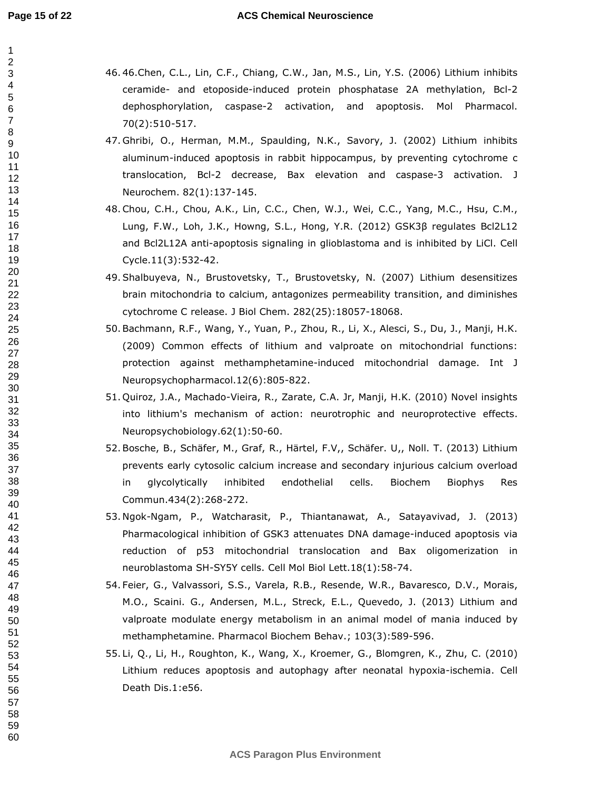#### **ACS Chemical Neuroscience**

- 46. 46.Chen, C.L., Lin, C.F., Chiang, C.W., Jan, M.S., Lin, Y.S. (2006) Lithium inhibits ceramide- and etoposide-induced protein phosphatase 2A methylation, Bcl-2 dephosphorylation, caspase-2 activation, and apoptosis. Mol Pharmacol. 70(2):510-517.
	- 47. Ghribi, O., Herman, M.M., Spaulding, N.K., Savory, J. (2002) Lithium inhibits aluminum-induced apoptosis in rabbit hippocampus, by preventing cytochrome c translocation, Bcl-2 decrease, Bax elevation and caspase-3 activation. J Neurochem. 82(1):137-145.
	- 48.Chou, C.H., Chou, A.K., Lin, C.C., Chen, W.J., Wei, C.C., Yang, M.C., Hsu, C.M., Lung, F.W., Loh, J.K., Howng, S.L., Hong, Y.R. (2012) GSK3β regulates Bcl2L12 and Bcl2L12A anti-apoptosis signaling in glioblastoma and is inhibited by LiCl. Cell Cycle.11(3):532-42.
	- 49.Shalbuyeva, N., Brustovetsky, T., Brustovetsky, N. (2007) Lithium desensitizes brain mitochondria to calcium, antagonizes permeability transition, and diminishes cytochrome C release. J Biol Chem. 282(25):18057-18068.
	- 50.Bachmann, R.F., Wang, Y., Yuan, P., Zhou, R., Li, X., Alesci, S., Du, J., Manji, H.K. (2009) Common effects of lithium and valproate on mitochondrial functions: protection against methamphetamine-induced mitochondrial damage. Int J Neuropsychopharmacol.12(6):805-822.
	- 51. Quiroz, J.A., Machado-Vieira, R., Zarate, C.A. Jr, Manji, H.K. (2010) Novel insights into lithium's mechanism of action: neurotrophic and neuroprotective effects. Neuropsychobiology.62(1):50-60.
	- 52.Bosche, B., Schäfer, M., Graf, R., Härtel, F.V,, Schäfer. U,, Noll. T. (2013) Lithium prevents early cytosolic calcium increase and secondary injurious calcium overload in glycolytically inhibited endothelial cells. Biochem Biophys Res Commun.434(2):268-272.
	- 53. Ngok-Ngam, P., Watcharasit, P., Thiantanawat, A., Satayavivad, J. (2013) Pharmacological inhibition of GSK3 attenuates DNA damage-induced apoptosis via reduction of p53 mitochondrial translocation and Bax oligomerization in neuroblastoma SH-SY5Y cells. Cell Mol Biol Lett.18(1):58-74.
	- 54. Feier, G., Valvassori, S.S., Varela, R.B., Resende, W.R., Bavaresco, D.V., Morais, M.O., Scaini. G., Andersen, M.L., Streck, E.L., Quevedo, J. (2013) Lithium and valproate modulate energy metabolism in an animal model of mania induced by methamphetamine. Pharmacol Biochem Behav.; 103(3):589-596.
	- 55. Li, Q., Li, H., Roughton, K., Wang, X., Kroemer, G., Blomgren, K., Zhu, C. (2010) Lithium reduces apoptosis and autophagy after neonatal hypoxia-ischemia. Cell Death Dis.1:e56.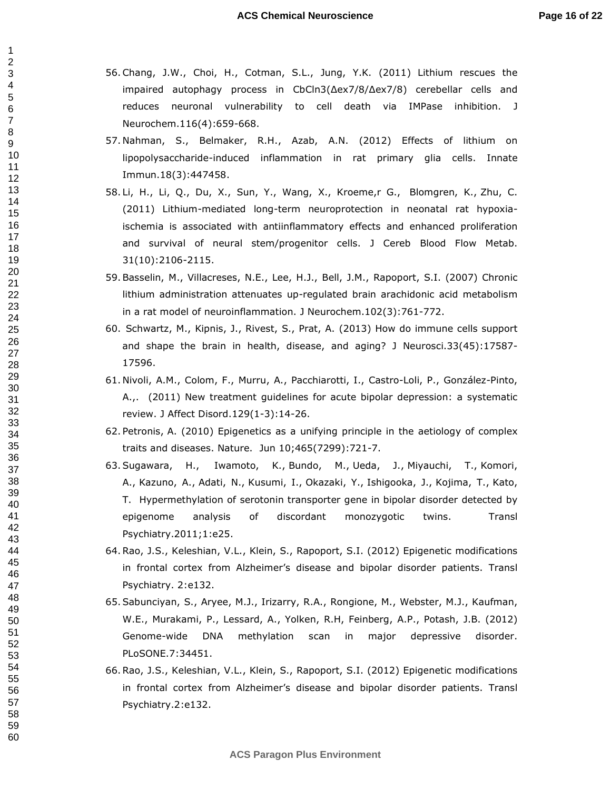- 56.Chang, J.W., Choi, H., Cotman, S.L., Jung, Y.K. (2011) Lithium rescues the impaired autophagy process in CbCln3(∆ex7/8/∆ex7/8) cerebellar cells and reduces neuronal vulnerability to cell death via IMPase inhibition. J Neurochem.116(4):659-668.
- 57. Nahman, S., Belmaker, R.H., Azab, A.N. (2012) Effects of lithium on lipopolysaccharide-induced inflammation in rat primary glia cells. Innate Immun.18(3):447458.
- 58. Li, H., Li, Q., Du, X., Sun, Y., Wang, X., Kroeme,r G., Blomgren, K., Zhu, C. (2011) Lithium-mediated long-term neuroprotection in neonatal rat hypoxiaischemia is associated with antiinflammatory effects and enhanced proliferation and survival of neural stem/progenitor cells. J Cereb Blood Flow Metab. 31(10):2106-2115.
- 59.Basselin, M., Villacreses, N.E., Lee, H.J., Bell, J.M., Rapoport, S.I. (2007) Chronic lithium administration attenuates up-regulated brain arachidonic acid metabolism in a rat model of neuroinflammation. J Neurochem.102(3):761-772.
- 60. Schwartz, M., Kipnis, J., Rivest, S., Prat, A. (2013) How do immune cells support and shape the brain in health, disease, and aging? J Neurosci.33(45):17587- 17596.
- 61. Nivoli, A.M., Colom, F., Murru, A., Pacchiarotti, I., Castro-Loli, P., González-Pinto, A.,. (2011) New treatment guidelines for acute bipolar depression: a systematic review. J Affect Disord.129(1-3):14-26.
- 62. Petronis, A. (2010) Epigenetics as a unifying principle in the aetiology of complex traits and diseases. Nature. Jun 10;465(7299):721-7.
- 63.Sugawara, H., Iwamoto, K., Bundo, M., Ueda, J., Miyauchi, T., Komori, A., Kazuno, A., Adati, N., Kusumi, I., Okazaki, Y., Ishigooka, J., Kojima, T., Kato, T. Hypermethylation of serotonin transporter gene in bipolar disorder detected by epigenome analysis of discordant monozygotic twins. Transl Psychiatry.2011;1:e25.
- 64.Rao, J.S., Keleshian, V.L., Klein, S., Rapoport, S.I. (2012) Epigenetic modifications in frontal cortex from Alzheimer's disease and bipolar disorder patients. Transl Psychiatry. 2:e132.
- 65.Sabunciyan, S., Aryee, M.J., Irizarry, R.A., Rongione, M., Webster, M.J., Kaufman, W.E., Murakami, P., Lessard, A., Yolken, R.H, Feinberg, A.P., Potash, J.B. (2012) Genome-wide DNA methylation scan in major depressive disorder. PLoSONE.7:34451.
- 66.Rao, J.S., Keleshian, V.L., Klein, S., Rapoport, S.I. (2012) Epigenetic modifications in frontal cortex from Alzheimer's disease and bipolar disorder patients. Transl Psychiatry.2:e132.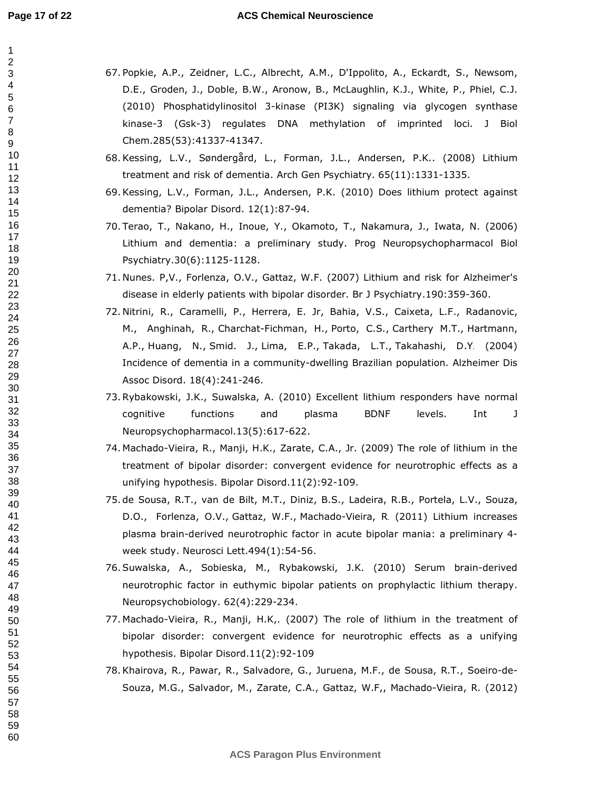#### **ACS Chemical Neuroscience**

- 67. Popkie, A.P., Zeidner, L.C., Albrecht, A.M., D'Ippolito, A., Eckardt, S., Newsom, D.E., Groden, J., Doble, B.W., Aronow, B., McLaughlin, K.J., White, P., Phiel, C.J. (2010) Phosphatidylinositol 3-kinase (PI3K) signaling via glycogen synthase kinase-3 (Gsk-3) regulates DNA methylation of imprinted loci. J Biol Chem.285(53):41337-41347.
	- 68.Kessing, L.V., Søndergård, L., Forman, J.L., Andersen, P.K.. (2008) Lithium treatment and risk of dementia. Arch Gen Psychiatry. 65(11):1331-1335.
	- 69.Kessing, L.V., Forman, J.L., Andersen, P.K. (2010) Does lithium protect against dementia? Bipolar Disord. 12(1):87-94.
	- 70. Terao, T., Nakano, H., Inoue, Y., Okamoto, T., Nakamura, J., Iwata, N. (2006) Lithium and dementia: a preliminary study. Prog Neuropsychopharmacol Biol Psychiatry.30(6):1125-1128.
	- 71. Nunes. P,V., Forlenza, O.V., Gattaz, W.F. (2007) Lithium and risk for Alzheimer's disease in elderly patients with bipolar disorder. Br J Psychiatry.190:359-360.
	- 72. Nitrini, R., Caramelli, P., Herrera, E. Jr, Bahia, V.S., Caixeta, L.F., Radanovic, M., Anghinah, R., Charchat-Fichman, H., Porto, C.S., Carthery M.T., Hartmann, A.P., Huang, N., Smid. J., Lima, E.P., Takada, L.T., Takahashi, D.Y. (2004) Incidence of dementia in a community-dwelling Brazilian population. Alzheimer Dis Assoc Disord. 18(4):241-246.
	- 73.Rybakowski, J.K., Suwalska, A. (2010) Excellent lithium responders have normal cognitive functions and plasma BDNF levels. Int J Neuropsychopharmacol.13(5):617-622.
	- 74. Machado-Vieira, R., Manji, H.K., Zarate, C.A., Jr. (2009) The role of lithium in the treatment of bipolar disorder: convergent evidence for neurotrophic effects as a unifying hypothesis. Bipolar Disord.11(2):92-109.
	- 75. de Sousa, R.T., van de Bilt, M.T., Diniz, B.S., Ladeira, R.B., Portela, L.V., Souza, D.O., Forlenza, O.V., Gattaz, W.F., Machado-Vieira, R. (2011) Lithium increases plasma brain-derived neurotrophic factor in acute bipolar mania: a preliminary 4 week study. Neurosci Lett.494(1):54-56.
	- 76.Suwalska, A., Sobieska, M., Rybakowski, J.K. (2010) Serum brain-derived neurotrophic factor in euthymic bipolar patients on prophylactic lithium therapy. Neuropsychobiology. 62(4):229-234.
	- 77. Machado-Vieira, R., Manji, H.K,. (2007) The role of lithium in the treatment of bipolar disorder: convergent evidence for neurotrophic effects as a unifying hypothesis. Bipolar Disord.11(2):92-109
	- 78.Khairova, R., Pawar, R., Salvadore, G., Juruena, M.F., de Sousa, R.T., Soeiro-de-Souza, M.G., Salvador, M., Zarate, C.A., Gattaz, W.F,, Machado-Vieira, R. (2012)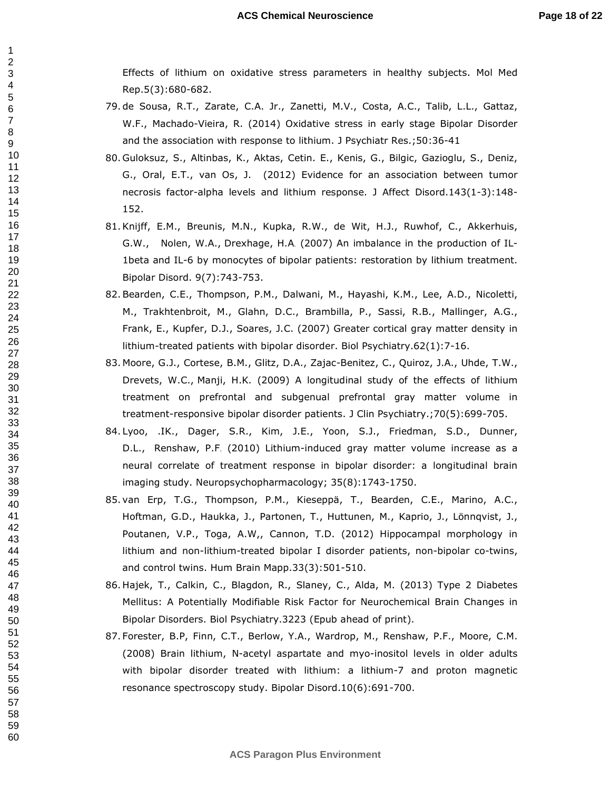Effects of lithium on oxidative stress parameters in healthy subjects. Mol Med Rep.5(3):680-682.

- 79. de Sousa, R.T., Zarate, C.A. Jr., Zanetti, M.V., Costa, A.C., Talib, L.L., Gattaz, W.F., Machado-Vieira, R. (2014) Oxidative stress in early stage Bipolar Disorder and the association with response to lithium. J Psychiatr Res.;50:36-41
- 80. Guloksuz, S., Altinbas, K., Aktas, Cetin. E., Kenis, G., Bilgic, Gazioglu, S., Deniz, G., Oral, E.T., van Os, J. (2012) Evidence for an association between tumor necrosis factor-alpha levels and lithium response. J Affect Disord.143(1-3):148- 152.
- 81.Knijff, E.M., Breunis, M.N., Kupka, R.W., de Wit, H.J., Ruwhof, C., Akkerhuis, G.W., Nolen, W.A., Drexhage, H.A. (2007) An imbalance in the production of IL-1beta and IL-6 by monocytes of bipolar patients: restoration by lithium treatment. Bipolar Disord. 9(7):743-753.
- 82.Bearden, C.E., Thompson, P.M., Dalwani, M., Hayashi, K.M., Lee, A.D., Nicoletti, M., Trakhtenbroit, M., Glahn, D.C., Brambilla, P., Sassi, R.B., Mallinger, A.G., Frank, E., Kupfer, D.J., Soares, J.C. (2007) Greater cortical gray matter density in lithium-treated patients with bipolar disorder. Biol Psychiatry.62(1):7-16.
- 83. Moore, G.J., Cortese, B.M., Glitz, D.A., Zajac-Benitez, C., Quiroz, J.A., Uhde, T.W., Drevets, W.C., Manji, H.K. (2009) A longitudinal study of the effects of lithium treatment on prefrontal and subgenual prefrontal gray matter volume in treatment-responsive bipolar disorder patients. J Clin Psychiatry.;70(5):699-705.
- 84. Lyoo, .IK., Dager, S.R., Kim, J.E., Yoon, S.J., Friedman, S.D., Dunner, D.L., Renshaw, P.F. (2010) Lithium-induced gray matter volume increase as a neural correlate of treatment response in bipolar disorder: a longitudinal brain imaging study. Neuropsychopharmacology; 35(8):1743-1750.
- 85. van Erp, T.G., Thompson, P.M., Kieseppä, T., Bearden, C.E., Marino, A.C., Hoftman, G.D., Haukka, J., Partonen, T., Huttunen, M., Kaprio, J., Lönnqvist, J., Poutanen, V.P., Toga, A.W,, Cannon, T.D. (2012) Hippocampal morphology in lithium and non-lithium-treated bipolar I disorder patients, non-bipolar co-twins, and control twins. Hum Brain Mapp.33(3):501-510.
- 86. Hajek, T., Calkin, C., Blagdon, R., Slaney, C., Alda, M. (2013) Type 2 Diabetes Mellitus: A Potentially Modifiable Risk Factor for Neurochemical Brain Changes in Bipolar Disorders. Biol Psychiatry.3223 (Epub ahead of print).
- 87. Forester, B.P, Finn, C.T., Berlow, Y.A., Wardrop, M., Renshaw, P.F., Moore, C.M. (2008) Brain lithium, N-acetyl aspartate and myo-inositol levels in older adults with bipolar disorder treated with lithium: a lithium-7 and proton magnetic resonance spectroscopy study. Bipolar Disord.10(6):691-700.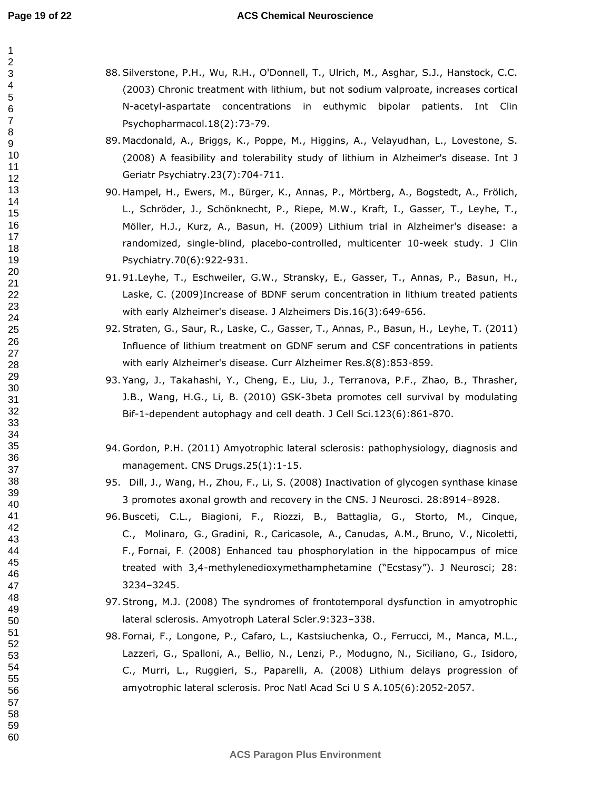#### **ACS Chemical Neuroscience**

- 88.Silverstone, P.H., Wu, R.H., O'Donnell, T., Ulrich, M., Asghar, S.J., Hanstock, C.C. (2003) Chronic treatment with lithium, but not sodium valproate, increases cortical N-acetyl-aspartate concentrations in euthymic bipolar patients. Int Clin Psychopharmacol.18(2):73-79.
- 89. Macdonald, A., Briggs, K., Poppe, M., Higgins, A., Velayudhan, L., Lovestone, S. (2008) A feasibility and tolerability study of lithium in Alzheimer's disease. Int J Geriatr Psychiatry.23(7):704-711.
- 90. Hampel, H., Ewers, M., Bürger, K., Annas, P., Mörtberg, A., Bogstedt, A., Frölich, L., Schröder, J., Schönknecht, P., Riepe, M.W., Kraft, I., Gasser, T., Leyhe, T., Möller, H.J., Kurz, A., Basun, H. (2009) Lithium trial in Alzheimer's disease: a randomized, single-blind, placebo-controlled, multicenter 10-week study. J Clin Psychiatry.70(6):922-931.
- 91. 91.Leyhe, T., Eschweiler, G.W., Stransky, E., Gasser, T., Annas, P., Basun, H., Laske, C. (2009)Increase of BDNF serum concentration in lithium treated patients with early Alzheimer's disease. J Alzheimers Dis.16(3):649-656.
- 92.Straten, G., Saur, R., Laske, C., Gasser, T., Annas, P., Basun, H., Leyhe, T. (2011) Influence of lithium treatment on GDNF serum and CSF concentrations in patients with early Alzheimer's disease. Curr Alzheimer Res.8(8):853-859.
- 93. Yang, J., Takahashi, Y., Cheng, E., Liu, J., Terranova, P.F., Zhao, B., Thrasher, J.B., Wang, H.G., Li, B. (2010) GSK-3beta promotes cell survival by modulating Bif-1-dependent autophagy and cell death. J Cell Sci.123(6):861-870.
- 94. Gordon, P.H. (2011) Amyotrophic lateral sclerosis: pathophysiology, diagnosis and management. CNS Drugs.25(1):1-15.
- 95. Dill, J., Wang, H., Zhou, F., Li, S. (2008) Inactivation of glycogen synthase kinase 3 promotes axonal growth and recovery in the CNS. J Neurosci. 28:8914–8928.
- 96.Busceti, C.L., Biagioni, F., Riozzi, B., Battaglia, G., Storto, M., Cinque, C., Molinaro, G., Gradini, R., Caricasole, A., Canudas, A.M., Bruno, V., Nicoletti, F., Fornai, F. (2008) Enhanced tau phosphorylation in the hippocampus of mice treated with 3,4-methylenedioxymethamphetamine ("Ecstasy"). J Neurosci; 28: 3234–3245.
- 97.Strong, M.J. (2008) The syndromes of frontotemporal dysfunction in amyotrophic lateral sclerosis. Amyotroph Lateral Scler.9:323–338.
- 98. Fornai, F., Longone, P., Cafaro, L., Kastsiuchenka, O., Ferrucci, M., Manca, M.L., Lazzeri, G., Spalloni, A., Bellio, N., Lenzi, P., Modugno, N., Siciliano, G., Isidoro, C., Murri, L., Ruggieri, S., Paparelli, A. (2008) Lithium delays progression of amyotrophic lateral sclerosis. Proc Natl Acad Sci U S A.105(6):2052-2057.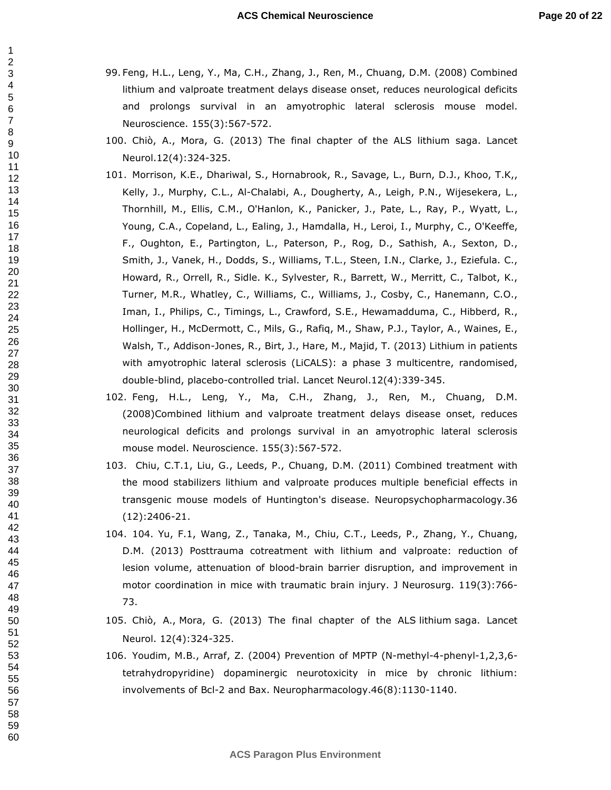- 99. Feng, H.L., Leng, Y., Ma, C.H., Zhang, J., Ren, M., Chuang, D.M. (2008) Combined lithium and valproate treatment delays disease onset, reduces neurological deficits and prolongs survival in an amyotrophic lateral sclerosis mouse model. Neuroscience. 155(3):567-572.
- 100. Chiò, A., Mora, G. (2013) The final chapter of the ALS lithium saga. Lancet Neurol.12(4):324-325.
- 101. Morrison, K.E., Dhariwal, S., Hornabrook, R., Savage, L., Burn, D.J., Khoo, T.K,, Kelly, J., Murphy, C.L., Al-Chalabi, A., Dougherty, A., Leigh, P.N., Wijesekera, L., Thornhill, M., Ellis, C.M., O'Hanlon, K., Panicker, J., Pate, L., Ray, P., Wyatt, L., Young, C.A., Copeland, L., Ealing, J., Hamdalla, H., Leroi, I., Murphy, C., O'Keeffe, F., Oughton, E., Partington, L., Paterson, P., Rog, D., Sathish, A., Sexton, D., Smith, J., Vanek, H., Dodds, S., Williams, T.L., Steen, I.N., Clarke, J., Eziefula. C., Howard, R., Orrell, R., Sidle. K., Sylvester, R., Barrett, W., Merritt, C., Talbot, K., Turner, M.R., Whatley, C., Williams, C., Williams, J., Cosby, C., Hanemann, C.O., Iman, I., Philips, C., Timings, L., Crawford, S.E., Hewamadduma, C., Hibberd, R., Hollinger, H., McDermott, C., Mils, G., Rafiq, M., Shaw, P.J., Taylor, A., Waines, E., Walsh, T., Addison-Jones, R., Birt, J., Hare, M., Majid, T. (2013) Lithium in patients with amyotrophic lateral sclerosis (LiCALS): a phase 3 multicentre, randomised, double-blind, placebo-controlled trial. Lancet Neurol.12(4):339-345.
- 102. Feng, H.L., Leng, Y., Ma, C.H., Zhang, J., Ren, M., Chuang, D.M. (2008)Combined lithium and valproate treatment delays disease onset, reduces neurological deficits and prolongs survival in an amyotrophic lateral sclerosis mouse model. Neuroscience. 155(3):567-572.
- 103. Chiu, C.T.1, Liu, G., Leeds, P., Chuang, D.M. (2011) Combined treatment with the mood stabilizers lithium and valproate produces multiple beneficial effects in transgenic mouse models of Huntington's disease. Neuropsychopharmacology.36 (12):2406-21.
- 104. 104. Yu, F.1, Wang, Z., Tanaka, M., Chiu, C.T., Leeds, P., Zhang, Y., Chuang, D.M. (2013) Posttrauma cotreatment with lithium and valproate: reduction of lesion volume, attenuation of blood-brain barrier disruption, and improvement in motor coordination in mice with traumatic brain injury. J Neurosurg. 119(3):766- 73.
- 105. Chiò, A., Mora, G. (2013) The final chapter of the ALS lithium saga. Lancet Neurol. 12(4):324-325.
- 106. Youdim, M.B., Arraf, Z. (2004) Prevention of MPTP (N-methyl-4-phenyl-1,2,3,6 tetrahydropyridine) dopaminergic neurotoxicity in mice by chronic lithium: involvements of Bcl-2 and Bax. Neuropharmacology.46(8):1130-1140.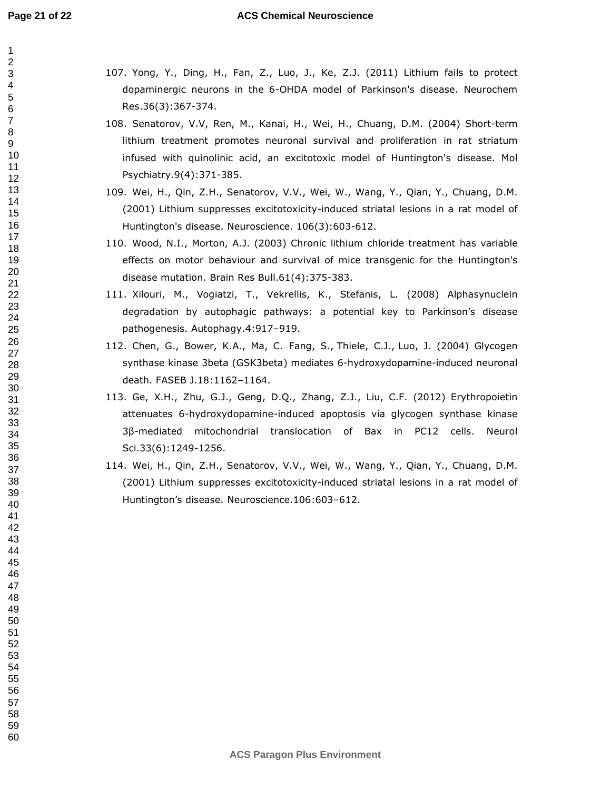#### **ACS Chemical Neuroscience**

- 107. Yong, Y., Ding, H., Fan, Z., Luo, J., Ke, Z.J. (2011) Lithium fails to protect dopaminergic neurons in the 6-OHDA model of Parkinson's disease. Neurochem Res.36(3):367-374.
- 108. Senatorov, V.V, Ren, M., Kanai, H., Wei, H., Chuang, D.M. (2004) Short-term lithium treatment promotes neuronal survival and proliferation in rat striatum infused with quinolinic acid, an excitotoxic model of Huntington's disease. Mol Psychiatry.9(4):371-385.
- 109. Wei, H., Qin, Z.H., Senatorov, V.V., Wei, W., Wang, Y., Qian, Y., Chuang, D.M. (2001) Lithium suppresses excitotoxicity-induced striatal lesions in a rat model of Huntington's disease. Neuroscience. 106(3):603-612.
- 110. Wood, N.I., Morton, A.J. (2003) Chronic lithium chloride treatment has variable effects on motor behaviour and survival of mice transgenic for the Huntington's disease mutation. Brain Res Bull.61(4):375-383.
- 111. Xilouri, M., Vogiatzi, T., Vekrellis, K., Stefanis, L. (2008) Alphasynuclein degradation by autophagic pathways: a potential key to Parkinson's disease pathogenesis. Autophagy.4:917–919.
- 112. Chen, G., Bower, K.A., Ma, C. Fang, S., Thiele, C.J., Luo, J. (2004) Glycogen synthase kinase 3beta (GSK3beta) mediates 6-hydroxydopamine-induced neuronal death. FASEB J.18:1162–1164.
- 113. Ge, X.H., Zhu, G.J., Geng, D.Q., Zhang, Z.J., Liu, C.F. (2012) Erythropoietin attenuates 6-hydroxydopamine-induced apoptosis via glycogen synthase kinase 3β-mediated mitochondrial translocation of Bax in PC12 cells. Neurol Sci.33(6):1249-1256.
- 114. Wei, H., Qin, Z.H., Senatorov, V.V., Wei, W., Wang, Y., Qian, Y., Chuang, D.M. (2001) Lithium suppresses excitotoxicity-induced striatal lesions in a rat model of Huntington's disease. Neuroscience.106:603–612.